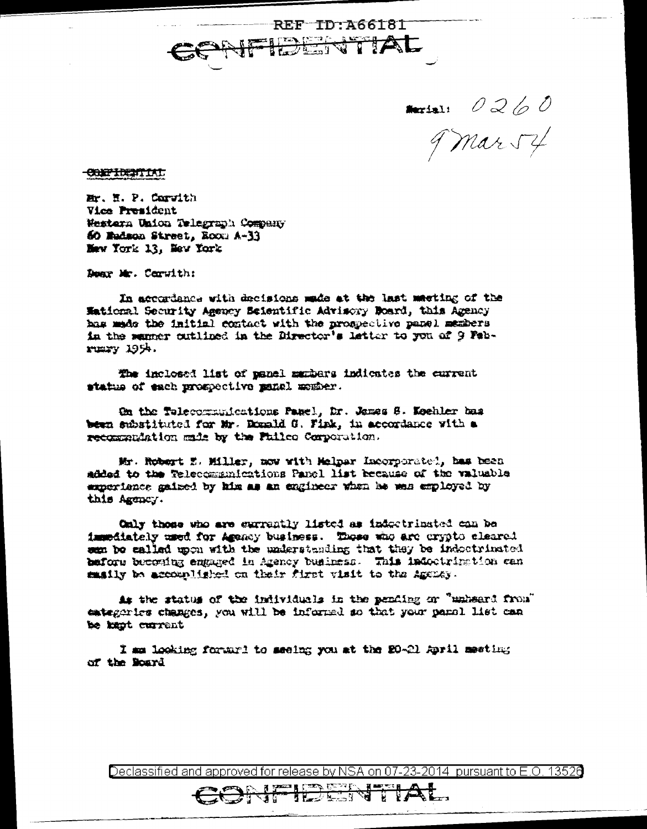REF ID A66181 TIAL सौं  $\overrightarrow{z}$ 

**Accessin**  $0260$ 9 mars 4

**CONFIDENTIAL** 

Mr. H. P. Corvith **Vice President** Western Union Telegraph Company 60 Madson Street, Room A-33 Maw York 13. May York

Donr Mr. Ceruith:

In accordance with decisions made at the last meeting of the Mational Security Agency Scientific Advisory Board, this Agency has made the initial contact with the prospective panel members in the samer outlined in the Director's letter to you of 9 February 1954.

The inclosed list of panel manbers indicates the current status of each prospective menal member.

On the Telecommunications Panel, Dr. James S. Keehler bas been substituted for Mr. Donald G. Fink, in accordance with a recommendation made by the Fulleo Corporation.

Mr. Robert E. Miller, mow with Melpar Incorporatel, has been added to the Telecommunications Panel list because of the valuable experience gained by him as an engineer when he was employed by this Agency.

Only those who are excreatly listed as indectrinated can be immediately used for Agency business. Those who are erypto cleared sen be called upon with the understanding that they be indoctrinated before becoming engaged in Agency business. This indoctrimation can maily be accomplished on their first visit to the Aggney.

As the status of the individuals in the pending or "unheard from" entegeries changes, you will be informed so that your panel list can be kept current

I mm looking forward to meeing you at the 20-21 April meeting of the Board

Declassified and approved for release by NSA on 07-23-2014 pursuant to E.O. 13526

**They has t**